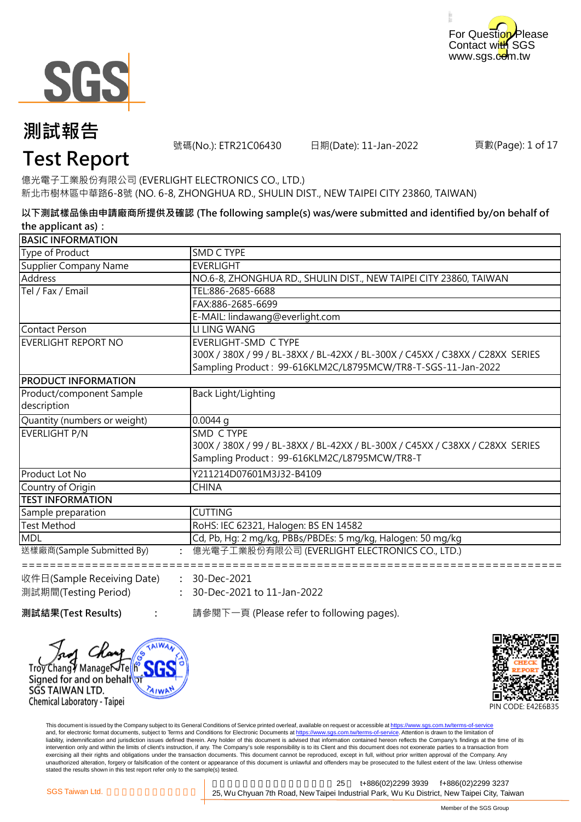



### **測試報告**

號碼(No.): ETR21C06430 日期(Date): 11-Jan-2022

頁數(Page): 1 of 17

### **Test Report**

億光電子工業股份有限公司 (EVERLIGHT ELECTRONICS CO., LTD.) 新北市樹林區中華路6-8號 (NO. 6-8, ZHONGHUA RD., SHULIN DIST., NEW TAIPEI CITY 23860, TAIWAN)

**以下測試樣品係由申請廠商所提供及確認 (The following sample(s) was/were submitted and identified by/on behalf of the applicant as):**

| <b>BASIC INFORMATION</b>     |                                                                                                                                               |
|------------------------------|-----------------------------------------------------------------------------------------------------------------------------------------------|
| Type of Product              | <b>SMD C TYPE</b>                                                                                                                             |
| <b>Supplier Company Name</b> | <b>EVERLIGHT</b>                                                                                                                              |
| Address                      | NO.6-8, ZHONGHUA RD., SHULIN DIST., NEW TAIPEI CITY 23860, TAIWAN                                                                             |
| Tel / Fax / Email            | TEL:886-2685-6688                                                                                                                             |
|                              | FAX:886-2685-6699                                                                                                                             |
|                              | E-MAIL: lindawang@everlight.com                                                                                                               |
| Contact Person               | <b>LI LING WANG</b>                                                                                                                           |
| EVERLIGHT REPORT NO          | <b>EVERLIGHT-SMD C TYPE</b>                                                                                                                   |
|                              | 300X / 380X / 99 / BL-38XX / BL-42XX / BL-300X / C45XX / C38XX / C28XX SERIES<br>Sampling Product: 99-616KLM2C/L8795MCW/TR8-T-SGS-11-Jan-2022 |
| <b>PRODUCT INFORMATION</b>   |                                                                                                                                               |
| Product/component Sample     | Back Light/Lighting                                                                                                                           |
| description                  |                                                                                                                                               |
| Quantity (numbers or weight) | $0.0044$ q                                                                                                                                    |
| EVERLIGHT P/N                | SMD C TYPE                                                                                                                                    |
|                              | 300X / 380X / 99 / BL-38XX / BL-42XX / BL-300X / C45XX / C38XX / C28XX SERIES                                                                 |
|                              | Sampling Product: 99-616KLM2C/L8795MCW/TR8-T                                                                                                  |
| Product Lot No               | Y211214D07601M3J32-B4109                                                                                                                      |
| Country of Origin            | <b>CHINA</b>                                                                                                                                  |
| <b>TEST INFORMATION</b>      |                                                                                                                                               |
| Sample preparation           | <b>CUTTING</b>                                                                                                                                |
| Test Method                  | RoHS: IEC 62321, Halogen: BS EN 14582                                                                                                         |
| <b>MDL</b>                   | Cd, Pb, Hg: 2 mg/kg, PBBs/PBDEs: 5 mg/kg, Halogen: 50 mg/kg                                                                                   |
| 送樣廠商(Sample Submitted By)    | 億光電子工業股份有限公司 (EVERLIGHT ELECTRONICS CO., LTD.)                                                                                                |
|                              |                                                                                                                                               |
| 收件日(Sample Receiving Date)   | 30-Dec-2021                                                                                                                                   |
| 測試期間(Testing Period)         | : 30-Dec-2021 to 11-Jan-2022                                                                                                                  |
|                              |                                                                                                                                               |

**測試結果(Test Results) : The oral 請參閱下一頁 (Please refer to following pages).** 

SGS TAIWAN LTD. Chemical Laboratory - Taipei

Manager Signed for and on behalfor **:**



This document is issued by the Company subject to its General Conditions of Service printed overleaf, available on request or accessible at <u>https://www.sgs.com.tw/terms-of-service</u><br>and, for electronic format documents, su liability, indemnification and jurisdiction issues defined therein. Any holder of this document is advised that information contained hereon reflects the Company's findings at the time of its intervention only and within the limits of client's instruction, if any. The Company's sole responsibility is to its Client and this document does not exonerate parties to a transaction from exercising all their rights and obligations under the transaction documents. This document cannot be reproduced, except in full, without prior written approval of the Company. Any<br>unauthorized alteration, forgery or falsif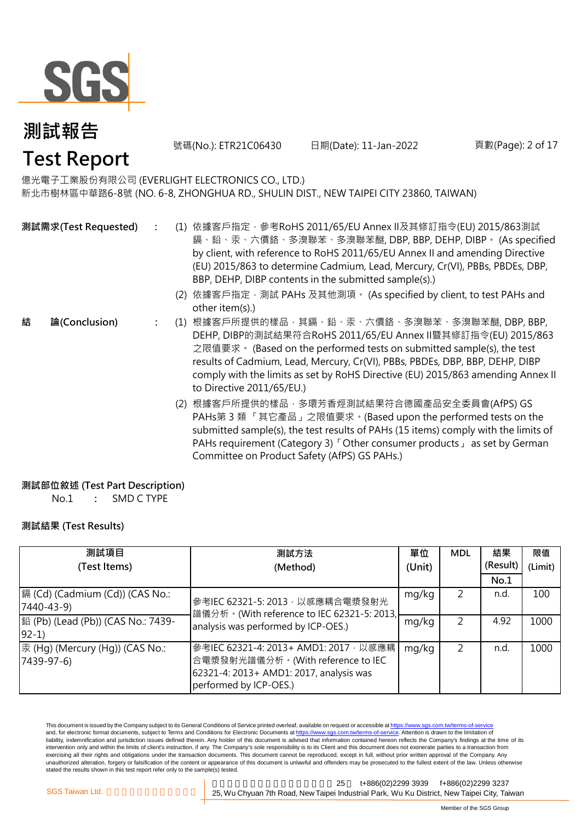

號碼(No.): ETR21C06430 日期(Date): 11-Jan-2022

頁數(Page): 2 of 17

### 億光電子工業股份有限公司 (EVERLIGHT ELECTRONICS CO., LTD.)

新北市樹林區中華路6-8號 (NO. 6-8, ZHONGHUA RD., SHULIN DIST., NEW TAIPEI CITY 23860, TAIWAN)

**測試需求(Test Requested)**

**結 論(Conclusion)**

- **:** (1) 依據客戶指定,參考RoHS 2011/65/EU Annex II及其修訂指令(EU) 2015/863測試 鎘、鉛、汞、六價鉻、多溴聯苯、多溴聯苯醚, DBP, BBP, DEHP, DIBP。 (As specified by client, with reference to RoHS 2011/65/EU Annex II and amending Directive (EU) 2015/863 to determine Cadmium, Lead, Mercury, Cr(VI), PBBs, PBDEs, DBP, BBP, DEHP, DIBP contents in the submitted sample(s).)
	- (2) 依據客戶指定,測試 PAHs 及其他測項。 (As specified by client, to test PAHs and other item(s).)
- **:** (1) 根據客戶所提供的樣品,其鎘、鉛、汞、六價鉻、多溴聯苯、多溴聯苯醚, DBP, BBP, DEHP, DIBP的測試結果符合RoHS 2011/65/EU Annex II暨其修訂指令(EU) 2015/863 之限值要求。 (Based on the performed tests on submitted sample(s), the test results of Cadmium, Lead, Mercury, Cr(VI), PBBs, PBDEs, DBP, BBP, DEHP, DIBP comply with the limits as set by RoHS Directive (EU) 2015/863 amending Annex II to Directive 2011/65/EU.)
	- (2) 根據客戶所提供的樣品,多環芳香烴測試結果符合德國產品安全委員會(AfPS) GS PAHs第 3 類 「其它產品」之限值要求。(Based upon the performed tests on the submitted sample(s), the test results of PAHs (15 items) comply with the limits of PAHs requirement (Category 3)「Other consumer products」 as set by German Committee on Product Safety (AfPS) GS PAHs.)

### **測試部位敘述 (Test Part Description)**

No.1 **:** : SMD C TYPE

### **測試結果 (Test Results)**

| 測試項目                                                 | 測試方法                                                                                                                                             | 單位    | <b>MDL</b> | 結果       | 限值      |
|------------------------------------------------------|--------------------------------------------------------------------------------------------------------------------------------------------------|-------|------------|----------|---------|
| (Test Items)                                         | (Method)                                                                                                                                         |       |            | (Result) | (Limit) |
|                                                      |                                                                                                                                                  |       |            | No.1     |         |
| 鎘 (Cd) (Cadmium (Cd)) (CAS No.:<br>7440-43-9)        | mg/kg<br>參考IEC 62321-5: 2013, 以感應耦合電漿發射光<br> 譜儀分析。(With reference to IEC 62321-5: 2013, <br>mg/kg<br>analysis was performed by ICP-OES.)         |       |            | n.d.     | 100     |
| 銟 (Pb) (Lead (Pb)) (CAS No.: 7439-<br>$ 92-1\rangle$ |                                                                                                                                                  |       |            | 4.92     | 1000    |
| 汞 (Hg) (Mercury (Hg)) (CAS No.:<br>$[7439-97-6]$     | 参考IEC 62321-4: 2013+ AMD1: 2017 · 以感應耦<br>合電漿發射光譜儀分析。(With reference to IEC<br>62321-4: 2013+ AMD1: 2017, analysis was<br>performed by ICP-OES.) | mg/kg |            | n.d      | 1000    |

This document is issued by the Company subject to its General Conditions of Service printed overleaf, available on request or accessible at https://www.sgs.com.tw/terms-of-service and, for electronic format documents, subject to Terms and Conditions for Electronic Documents at https://www.sgs.com.tw/terms-of-service. Attention is drawn to the limitation of liability, indemnification and jurisdiction issues defined therein. Any holder of this document is advised that information contained hereon reflects the Company's findings at the time of its intervention only and within the limits of client's instruction, if any. The Company's sole responsibility is to its Client and this document does not exonerate parties to a transaction from exercising all their rights and obligations under the transaction documents. This document cannot be reproduced, except in full, without prior written approval of the Company. Any unauthorized alteration, forgery or falsification of the content or appearance of this document is unlawful and offenders may be prosecuted to the fullest extent of the law. Unless otherwise stated the results shown in this test report refer only to the sample(s) tested.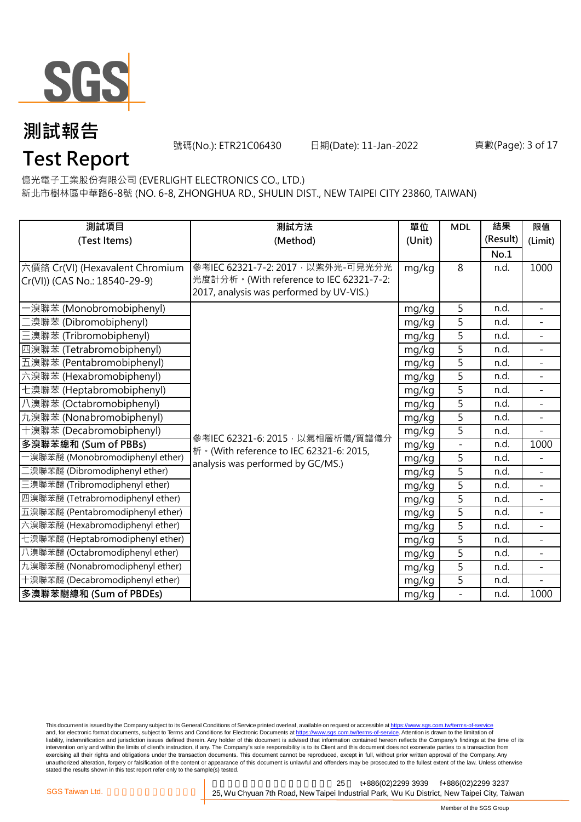

號碼(No.): ETR21C06430 日期(Date): 11-Jan-2022

#### 頁數(Page): 3 of 17

億光電子工業股份有限公司 (EVERLIGHT ELECTRONICS CO., LTD.)

新北市樹林區中華路6-8號 (NO. 6-8, ZHONGHUA RD., SHULIN DIST., NEW TAIPEI CITY 23860, TAIWAN)

| 測試項目                             | 測試方法                                      | 單位     | <b>MDL</b>        | 結果       | 限值                       |
|----------------------------------|-------------------------------------------|--------|-------------------|----------|--------------------------|
| (Test Items)                     | (Method)                                  | (Unit) |                   | (Result) | (Limit)                  |
|                                  |                                           |        |                   | No.1     |                          |
| 六價鉻 Cr(VI) (Hexavalent Chromium  | 參考IEC 62321-7-2: 2017, 以紫外光-可見光分光         | mg/kg  | 8                 | n.d.     | 1000                     |
| Cr(VI)) (CAS No.: 18540-29-9)    | 光度計分析。(With reference to IEC 62321-7-2:   |        |                   |          |                          |
|                                  | 2017, analysis was performed by UV-VIS.)  |        |                   |          |                          |
| ·溴聯苯 (Monobromobiphenyl)         |                                           | mg/kg  | 5                 | n.d.     |                          |
| 澳聯苯 (Dibromobiphenyl)            |                                           | mg/kg  | $\overline{5}$    | n.d.     |                          |
| 三溴聯苯 (Tribromobiphenyl)          |                                           | mg/kg  | 5                 | n.d.     | $\overline{a}$           |
| 四溴聯苯 (Tetrabromobiphenyl)        |                                           | mg/kg  | 5                 | n.d.     |                          |
| 五溴聯苯 (Pentabromobiphenyl)        |                                           | mg/kg  | $\overline{5}$    | n.d.     | $\overline{a}$           |
| 六溴聯苯 (Hexabromobiphenyl)         |                                           | mg/kg  | 5                 | n.d.     | $\overline{a}$           |
| 七溴聯苯 (Heptabromobiphenyl)        |                                           | mg/kg  | $\overline{5}$    | n.d.     |                          |
| 八溴聯苯 (Octabromobiphenyl)         |                                           | mg/kg  | 5                 | n.d.     | $\overline{a}$           |
| 九溴聯苯 (Nonabromobiphenyl)         |                                           | mg/kg  | 5                 | n.d.     | $\overline{a}$           |
| 十溴聯苯 (Decabromobiphenyl)         | 參考IEC 62321-6: 2015, 以氣相層析儀/質譜儀分          | mg/kg  | $\overline{5}$    | n.d.     |                          |
| 多溴聯苯總和 (Sum of PBBs)             | 析 · (With reference to IEC 62321-6: 2015, | mg/kg  | $\qquad \qquad -$ | n.d.     | 1000                     |
| -溴聯苯醚 (Monobromodiphenyl ether)  | analysis was performed by GC/MS.)         | mg/kg  | 5                 | n.d.     |                          |
| 二溴聯苯醚 (Dibromodiphenyl ether)    |                                           | mg/kg  | 5                 | n.d.     |                          |
| 三溴聯苯醚 (Tribromodiphenyl ether)   |                                           | mg/kg  | 5                 | n.d.     | $\blacksquare$           |
| 四溴聯苯醚 (Tetrabromodiphenyl ether) |                                           | mg/kg  | 5                 | n.d.     |                          |
| 五溴聯苯醚 (Pentabromodiphenyl ether) |                                           | mg/kg  | 5                 | n.d.     | $\overline{\phantom{a}}$ |
| 六溴聯苯醚 (Hexabromodiphenyl ether)  |                                           | mg/kg  | 5                 | n.d.     | $\overline{\phantom{a}}$ |
| 七溴聯苯醚 (Heptabromodiphenyl ether) |                                           | mg/kg  | $\overline{5}$    | n.d.     |                          |
| 八溴聯苯醚 (Octabromodiphenyl ether)  |                                           | mg/kg  | 5                 | n.d.     | $\equiv$                 |
| 九溴聯苯醚 (Nonabromodiphenyl ether)  |                                           | mg/kg  | 5                 | n.d.     | $\overline{\phantom{a}}$ |
| 十溴聯苯醚 (Decabromodiphenyl ether)  |                                           | mg/kg  | 5                 | n.d.     |                          |
| 多溴聯苯醚總和 (Sum of PBDEs)           |                                           | mg/kg  | $\overline{a}$    | n.d.     | 1000                     |

This document is issued by the Company subject to its General Conditions of Service printed overleaf, available on request or accessible at <u>https://www.sgs.com.tw/terms-of-service</u><br>and, for electronic format documents, su liability, indemnification and jurisdiction issues defined therein. Any holder of this document is advised that information contained hereon reflects the Company's findings at the time of its intervention only and within the limits of client's instruction, if any. The Company's sole responsibility is to its Client and this document does not exonerate parties to a transaction from exercising all their rights and obligations under the transaction documents. This document cannot be reproduced, except in full, without prior written approval of the Company. Any<br>unauthorized alteration, forgery or falsif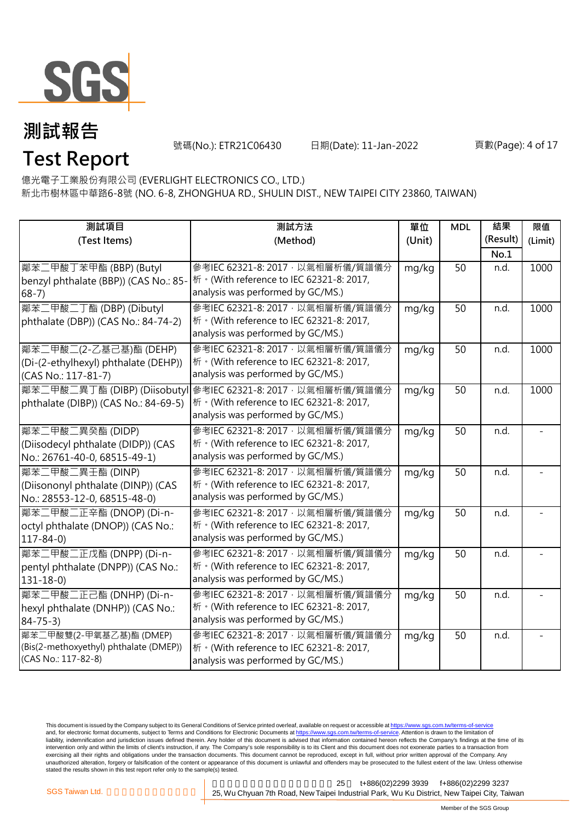

號碼(No.): ETR21C06430 日期(Date): 11-Jan-2022

#### 頁數(Page): 4 of 17

億光電子工業股份有限公司 (EVERLIGHT ELECTRONICS CO., LTD.)

新北市樹林區中華路6-8號 (NO. 6-8, ZHONGHUA RD., SHULIN DIST., NEW TAIPEI CITY 23860, TAIWAN)

| 測試項目<br>(Test Items)                                                                     | 測試方法<br>(Method)                                                                                                    | 單位<br>(Unit) | <b>MDL</b> | 結果<br>(Result)<br>No.1 | 限值<br>(Limit) |
|------------------------------------------------------------------------------------------|---------------------------------------------------------------------------------------------------------------------|--------------|------------|------------------------|---------------|
| 鄰苯二甲酸丁苯甲酯 (BBP) (Butyl<br>benzyl phthalate (BBP)) (CAS No.: 85-<br>$68-7)$               | 參考IEC 62321-8: 2017, 以氣相層析儀/質譜儀分<br>桥 · (With reference to IEC 62321-8: 2017,<br>analysis was performed by GC/MS.)  | mg/kg        | 50         | n.d.                   | 1000          |
| 鄰苯二甲酸二丁酯 (DBP) (Dibutyl<br>phthalate (DBP)) (CAS No.: 84-74-2)                           | 參考IEC 62321-8: 2017, 以氣相層析儀/質譜儀分<br>析 · (With reference to IEC 62321-8: 2017,<br>analysis was performed by GC/MS.)  | mg/kg        | 50         | n.d.                   | 1000          |
| 鄰苯二甲酸二(2-乙基己基)酯 (DEHP)<br>(Di-(2-ethylhexyl) phthalate (DEHP))<br>(CAS No.: 117-81-7)    | 參考IEC 62321-8: 2017, 以氣相層析儀/質譜儀分<br>析 · (With reference to IEC 62321-8: 2017,<br>analysis was performed by GC/MS.)  | mg/kg        | 50         | n.d.                   | 1000          |
| 鄰苯二甲酸二異丁酯 (DIBP) (Diisobutyl<br>phthalate (DIBP)) (CAS No.: 84-69-5)                     | 參考IEC 62321-8: 2017, 以氣相層析儀/質譜儀分<br>析 · (With reference to IEC 62321-8: 2017,<br>analysis was performed by GC/MS.)  | mg/kg        | 50         | n.d.                   | 1000          |
| 鄰苯二甲酸二異癸酯 (DIDP)<br>(Diisodecyl phthalate (DIDP)) (CAS<br>No.: 26761-40-0, 68515-49-1)   | 參考IEC 62321-8: 2017 · 以氣相層析儀/質譜儀分<br>析 · (With reference to IEC 62321-8: 2017,<br>analysis was performed by GC/MS.) | mg/kg        | 50         | n.d.                   |               |
| 鄰苯二甲酸二異壬酯 (DINP)<br>(Diisononyl phthalate (DINP)) (CAS<br>No.: 28553-12-0, 68515-48-0)   | 參考IEC 62321-8: 2017, 以氣相層析儀/質譜儀分<br>析 · (With reference to IEC 62321-8: 2017,<br>analysis was performed by GC/MS.)  | mg/kg        | 50         | n.d.                   |               |
| 鄰苯二甲酸二正辛酯 (DNOP) (Di-n-<br>octyl phthalate (DNOP)) (CAS No.:<br>$117 - 84 - 0$           | 參考IEC 62321-8: 2017 · 以氣相層析儀/質譜儀分<br>析 · (With reference to IEC 62321-8: 2017,<br>analysis was performed by GC/MS.) | mg/kg        | 50         | n.d.                   |               |
| 鄰苯二甲酸二正戊酯 (DNPP) (Di-n-<br>pentyl phthalate (DNPP)) (CAS No.:<br>$131 - 18 - 0$          | 參考IEC 62321-8: 2017, 以氣相層析儀/質譜儀分<br>析 · (With reference to IEC 62321-8: 2017,<br>analysis was performed by GC/MS.)  | mg/kg        | 50         | n.d.                   |               |
| 鄰苯二甲酸二正己酯 (DNHP) (Di-n-<br>hexyl phthalate (DNHP)) (CAS No.:<br>$84 - 75 - 3$            | 參考IEC 62321-8: 2017, 以氣相層析儀/質譜儀分<br>析 · (With reference to IEC 62321-8: 2017,<br>analysis was performed by GC/MS.)  | mg/kg        | 50         | n.d.                   |               |
| 鄰苯二甲酸雙(2-甲氧基乙基)酯 (DMEP)<br>(Bis(2-methoxyethyl) phthalate (DMEP))<br>(CAS No.: 117-82-8) | 參考IEC 62321-8: 2017, 以氣相層析儀/質譜儀分<br>析 · (With reference to IEC 62321-8: 2017,<br>analysis was performed by GC/MS.)  | mg/kg        | 50         | n.d.                   |               |

This document is issued by the Company subject to its General Conditions of Service printed overleaf, available on request or accessible at <u>https://www.sgs.com.tw/terms-of-service</u><br>and, for electronic format documents, su liability, indemnification and jurisdiction issues defined therein. Any holder of this document is advised that information contained hereon reflects the Company's findings at the time of its intervention only and within the limits of client's instruction, if any. The Company's sole responsibility is to its Client and this document does not exonerate parties to a transaction from exercising all their rights and obligations under the transaction documents. This document cannot be reproduced, except in full, without prior written approval of the Company. Any<br>unauthorized alteration, forgery or falsif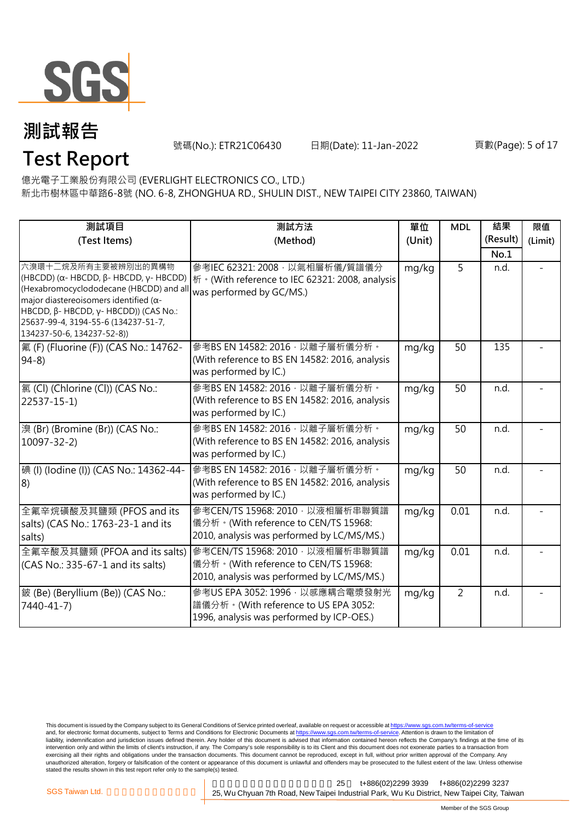

號碼(No.): ETR21C06430 日期(Date): 11-Jan-2022

#### 頁數(Page): 5 of 17

億光電子工業股份有限公司 (EVERLIGHT ELECTRONICS CO., LTD.)

新北市樹林區中華路6-8號 (NO. 6-8, ZHONGHUA RD., SHULIN DIST., NEW TAIPEI CITY 23860, TAIWAN)

| 測試項目                                                                                                                                                                                                                                                                    | 測試方法                                                                                                                  | 單位     | <b>MDL</b>     | 結果<br>(Result) | 限值      |
|-------------------------------------------------------------------------------------------------------------------------------------------------------------------------------------------------------------------------------------------------------------------------|-----------------------------------------------------------------------------------------------------------------------|--------|----------------|----------------|---------|
| (Test Items)                                                                                                                                                                                                                                                            | (Method)                                                                                                              | (Unit) |                | No.1           | (Limit) |
| 六溴環十二烷及所有主要被辨別出的異構物<br>(HBCDD) (α- HBCDD, β- HBCDD, γ- HBCDD)<br>(Hexabromocyclododecane (HBCDD) and al<br>major diastereoisomers identified ( $\alpha$ -<br>HBCDD, β- HBCDD, γ- HBCDD)) (CAS No.:<br>25637-99-4, 3194-55-6 (134237-51-7,<br>134237-50-6, 134237-52-8)) | 參考IEC 62321: 2008, 以氣相層析儀/質譜儀分<br>桥 · (With reference to IEC 62321: 2008, analysis<br>was performed by GC/MS.)        | mg/kg  | 5              | n.d.           |         |
| 氟 (F) (Fluorine (F)) (CAS No.: 14762-<br>$94-8$                                                                                                                                                                                                                         | 參考BS EN 14582: 2016, 以離子層析儀分析。<br>(With reference to BS EN 14582: 2016, analysis<br>was performed by IC.)             | mg/kg  | 50             | 135            |         |
| [氯 (Cl) (Chlorine (Cl)) (CAS No.:<br>$22537 - 15 - 1$                                                                                                                                                                                                                   | 參考BS EN 14582: 2016, 以離子層析儀分析。<br>(With reference to BS EN 14582: 2016, analysis<br>was performed by IC.)             | mg/kg  | 50             | n.d.           |         |
| 澳 (Br) (Bromine (Br)) (CAS No.:<br>$10097 - 32 - 2$                                                                                                                                                                                                                     | 參考BS EN 14582: 2016, 以離子層析儀分析。<br>(With reference to BS EN 14582: 2016, analysis<br>was performed by IC.)             | mg/kg  | 50             | n.d.           |         |
| 碘 (I) (lodine (I)) (CAS No.: 14362-44-<br> 8)                                                                                                                                                                                                                           | 參考BS EN 14582: 2016, 以離子層析儀分析。<br>(With reference to BS EN 14582: 2016, analysis<br>was performed by IC.)             | mg/kg  | 50             | n.d.           |         |
| 全氟辛烷磺酸及其鹽類 (PFOS and its<br>salts) (CAS No.: 1763-23-1 and its<br>salts)                                                                                                                                                                                                | 參考CEN/TS 15968: 2010, 以液相層析串聯質譜<br>儀分析。(With reference to CEN/TS 15968:<br>2010, analysis was performed by LC/MS/MS.) | mg/kg  | 0.01           | n.d.           |         |
| 全氟辛酸及其鹽類 (PFOA and its salts)<br>(CAS No.: 335-67-1 and its salts)                                                                                                                                                                                                      | 參考CEN/TS 15968: 2010, 以液相層析串聯質譜<br>儀分析。(With reference to CEN/TS 15968:<br>2010, analysis was performed by LC/MS/MS.) | mg/kg  | 0.01           | n.d.           |         |
| 鈹 (Be) (Beryllium (Be)) (CAS No.:<br>7440-41-7)                                                                                                                                                                                                                         | 參考US EPA 3052: 1996, 以感應耦合電漿發射光<br>譜儀分析。(With reference to US EPA 3052:<br>1996, analysis was performed by ICP-OES.)  | mg/kg  | $\overline{2}$ | n.d.           |         |

This document is issued by the Company subject to its General Conditions of Service printed overleaf, available on request or accessible at <u>https://www.sgs.com.tw/terms-of-service</u><br>and, for electronic format documents, su liability, indemnification and jurisdiction issues defined therein. Any holder of this document is advised that information contained hereon reflects the Company's findings at the time of its intervention only and within the limits of client's instruction, if any. The Company's sole responsibility is to its Client and this document does not exonerate parties to a transaction from exercising all their rights and obligations under the transaction documents. This document cannot be reproduced, except in full, without prior written approval of the Company. Any<br>unauthorized alteration, forgery or falsif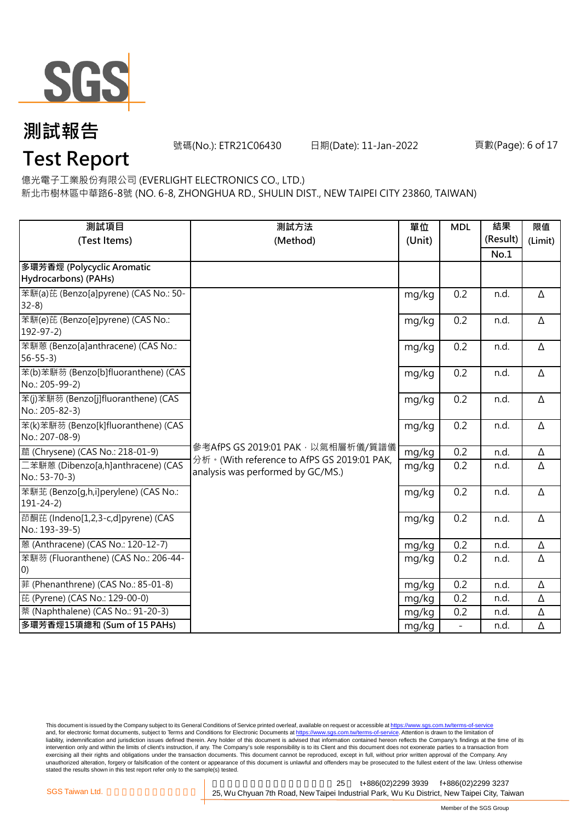

### **測試報告**

號碼(No.): ETR21C06430 日期(Date): 11-Jan-2022

#### 頁數(Page): 6 of 17

### **Test Report**

億光電子工業股份有限公司 (EVERLIGHT ELECTRONICS CO., LTD.)

新北市樹林區中華路6-8號 (NO. 6-8, ZHONGHUA RD., SHULIN DIST., NEW TAIPEI CITY 23860, TAIWAN)

| 測試項目                                                     | 測試方法                                                                              | 單位     | <b>MDL</b>               | 結果       | 限值       |
|----------------------------------------------------------|-----------------------------------------------------------------------------------|--------|--------------------------|----------|----------|
| (Test Items)                                             | (Method)                                                                          | (Unit) |                          | (Result) | (Limit)  |
|                                                          |                                                                                   |        |                          | No.1     |          |
| 多環芳香烴 (Polycyclic Aromatic                               |                                                                                   |        |                          |          |          |
| Hydrocarbons) (PAHs)                                     |                                                                                   |        |                          |          |          |
| 苯駢(a)芘 (Benzo[a]pyrene) (CAS No.: 50-<br>$32-8$          |                                                                                   | mg/kg  | 0.2                      | n.d.     | Δ        |
| 苯駢(e)芘 (Benzo[e]pyrene) (CAS No.:<br>$192 - 97 - 2$      |                                                                                   | mg/kg  | 0.2                      | n.d.     | Δ        |
| 苯駢蒽 (Benzo[a]anthracene) (CAS No.:<br>$56 - 55 - 3$      |                                                                                   | mg/kg  | 0.2                      | n.d.     | Δ        |
| 苯(b)苯駢芴 (Benzo[b]fluoranthene) (CAS<br>No.: 205-99-2)    |                                                                                   | mg/kg  | 0.2                      | n.d.     | Δ        |
| 苯(j)苯駢芴 (Benzo[j]fluoranthene) (CAS<br>No.: 205-82-3)    |                                                                                   | mg/kg  | 0.2                      | n.d.     | Δ        |
| 苯(k)苯駢芴 (Benzo[k]fluoranthene) (CAS<br>No.: 207-08-9)    |                                                                                   | mg/kg  | 0.2                      | n.d.     | Δ        |
| 蔰 (Chrysene) (CAS No.: 218-01-9)                         | 參考AfPS GS 2019:01 PAK, 以氣相層析儀/質譜儀                                                 | mg/kg  | 0.2                      | n.d.     | Δ        |
| 二苯駢蒽 (Dibenzo[a,h]anthracene) (CAS<br>No.: 53-70-3)      | 分析 · (With reference to AfPS GS 2019:01 PAK,<br>analysis was performed by GC/MS.) | mg/kg  | 0.2                      | n.d.     | Δ        |
| 苯駢苝 (Benzo[g,h,i]perylene) (CAS No.:<br>$191 - 24 - 2)$  |                                                                                   | mg/kg  | 0.2                      | n.d.     | $\Delta$ |
| 茚酮芘 (Indeno[1,2,3-c,d]pyrene) (CAS<br>No.: 193-39-5)     |                                                                                   | mg/kg  | 0.2                      | n.d.     | Δ        |
| 蒽 (Anthracene) (CAS No.: 120-12-7)                       |                                                                                   | mg/kg  | 0.2                      | n.d.     | Δ        |
| 苯駢芴 (Fluoranthene) (CAS No.: 206-44-<br>$\vert 0\rangle$ |                                                                                   | mg/kg  | 0.2                      | n.d.     | Δ        |
| 菲 (Phenanthrene) (CAS No.: 85-01-8)                      |                                                                                   | mg/kg  | 0.2                      | n.d.     | $\Delta$ |
| 芘 (Pyrene) (CAS No.: 129-00-0)                           |                                                                                   | mg/kg  | 0.2                      | n.d.     | Δ        |
| 萘 (Naphthalene) (CAS No.: 91-20-3)                       |                                                                                   | mg/kg  | 0.2                      | n.d.     | Δ        |
| 多環芳香烴15項總和 (Sum of 15 PAHs)                              |                                                                                   | mg/kg  | $\overline{\phantom{a}}$ | n.d.     | Δ        |

This document is issued by the Company subject to its General Conditions of Service printed overleaf, available on request or accessible at <u>https://www.sgs.com.tw/terms-of-service</u><br>and, for electronic format documents, su liability, indemnification and jurisdiction issues defined therein. Any holder of this document is advised that information contained hereon reflects the Company's findings at the time of its intervention only and within the limits of client's instruction, if any. The Company's sole responsibility is to its Client and this document does not exonerate parties to a transaction from exercising all their rights and obligations under the transaction documents. This document cannot be reproduced, except in full, without prior written approval of the Company. Any<br>unauthorized alteration, forgery or falsif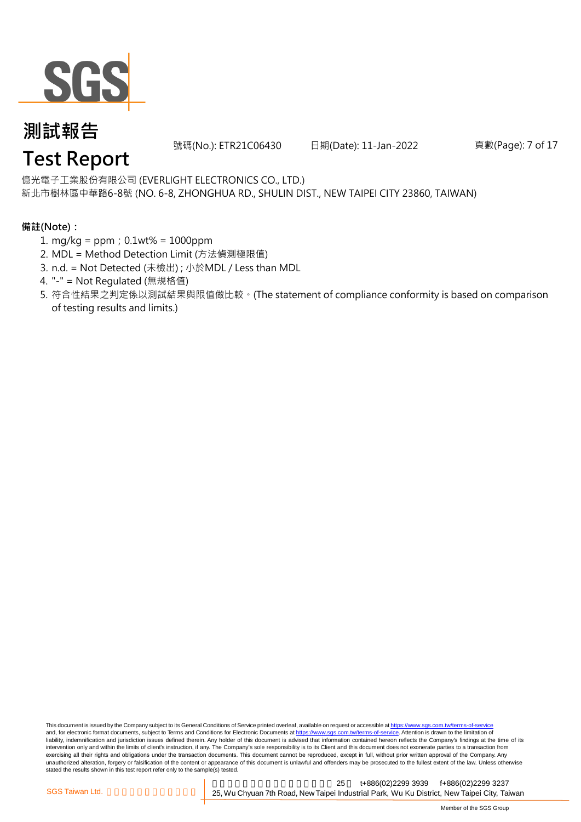

號碼(No.): ETR21C06430 日期(Date): 11-Jan-2022

頁數(Page): 7 of 17

#### 億光電子工業股份有限公司 (EVERLIGHT ELECTRONICS CO., LTD.)

新北市樹林區中華路6-8號 (NO. 6-8, ZHONGHUA RD., SHULIN DIST., NEW TAIPEI CITY 23860, TAIWAN)

#### **備註(Note):**

- 1. mg/kg = ppm;0.1wt% = 1000ppm
- 2. MDL = Method Detection Limit (方法偵測極限值)
- 3. n.d. = Not Detected (未檢出) ; 小於MDL / Less than MDL
- 4. "-" = Not Regulated (無規格值)
- 5. 符合性結果之判定係以測試結果與限值做比較。(The statement of compliance conformity is based on comparison of testing results and limits.)

This document is issued by the Company subject to its General Conditions of Service printed overleaf, available on request or accessible at https://www.sgs.com.tw/terms-of-service and, for electronic format documents, subject to Terms and Conditions for Electronic Documents at https://www.sgs.com.tw/terms-of-service. Attention is drawn to the limitation of liability, indemnification and jurisdiction issues defined therein. Any holder of this document is advised that information contained hereon reflects the Company's findings at the time of its intervention only and within the limits of client's instruction, if any. The Company's sole responsibility is to its Client and this document does not exonerate parties to a transaction from exercising all their rights and obligations under the transaction documents. This document cannot be reproduced, except in full, without prior written approval of the Company. Any<br>unauthorized alteration, forgery or falsif stated the results shown in this test report refer only to the sample(s) tested.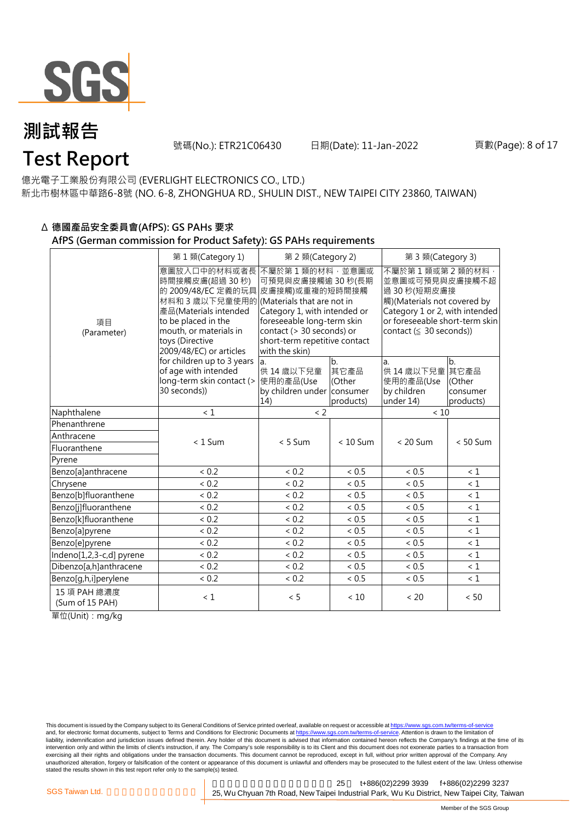

號碼(No.): ETR21C06430 日期(Date): 11-Jan-2022

億光電子工業股份有限公司 (EVERLIGHT ELECTRONICS CO., LTD.) 新北市樹林區中華路6-8號 (NO. 6-8, ZHONGHUA RD., SHULIN DIST., NEW TAIPEI CITY 23860, TAIWAN)

### Δ **德國產品安全委員會(AfPS): GS PAHs 要求**

#### **AfPS (German commission for Product Safety): GS PAHs requirements**

|                                 | 第1類(Category 1)                                                                                                                                                                                     | 第 2 類(Category 2)                                                                                                                                                                                                     |                                   | 第3類(Category 3)                                                                                                                                                                     |                                                |  |
|---------------------------------|-----------------------------------------------------------------------------------------------------------------------------------------------------------------------------------------------------|-----------------------------------------------------------------------------------------------------------------------------------------------------------------------------------------------------------------------|-----------------------------------|-------------------------------------------------------------------------------------------------------------------------------------------------------------------------------------|------------------------------------------------|--|
| 項目<br>(Parameter)               | 意圖放入口中的材料或者長<br>時間接觸皮膚(超過 30秒)<br>材料和 3 歲以下兒童使用的 (Materials that are not in<br>產品(Materials intended<br>to be placed in the<br>mouth, or materials in<br>toys (Directive<br>2009/48/EC) or articles | 不屬於第1類的材料,並意圖或<br>可預見與皮膚接觸逾 30秒(長期<br>的 2009/48/EC 定義的玩具 皮膚接觸)或重複的短時間接觸<br>Category 1, with intended or<br>foreseeable long-term skin<br>contact (> 30 seconds) or<br>short-term repetitive contact<br>with the skin) |                                   | 不屬於第1類或第2類的材料<br>並意圖或可預見與皮膚接觸不超<br>過 30 秒(短期皮膚接<br>觸)(Materials not covered by<br>Category 1 or 2, with intended<br>or foreseeable short-term skin<br>contact $( \leq 30$ seconds)) |                                                |  |
|                                 | for children up to 3 years<br>of age with intended<br>long-term skin contact (><br>30 seconds))                                                                                                     | la.<br>供 14 歳以下兒童<br>使用的產品(Use<br>by children under consumer<br>14)                                                                                                                                                   | b.<br>其它產品<br>(Other<br>products) | a.<br>供 14 歳以下兒童<br>使用的產品(Use<br>by children<br>under 14)                                                                                                                           | lb.<br>其它產品<br>IOther<br>consumer<br>products) |  |
| Naphthalene                     | $\leq 1$                                                                                                                                                                                            | $\langle$ 2                                                                                                                                                                                                           |                                   | < 10                                                                                                                                                                                |                                                |  |
| Phenanthrene                    |                                                                                                                                                                                                     |                                                                                                                                                                                                                       |                                   |                                                                                                                                                                                     |                                                |  |
| Anthracene                      | $< 1$ Sum                                                                                                                                                                                           | $< 5$ Sum                                                                                                                                                                                                             | $< 10$ Sum                        | $< 20$ Sum                                                                                                                                                                          | $< 50$ Sum                                     |  |
| Fluoranthene                    |                                                                                                                                                                                                     |                                                                                                                                                                                                                       |                                   |                                                                                                                                                                                     |                                                |  |
| Pyrene                          |                                                                                                                                                                                                     |                                                                                                                                                                                                                       |                                   |                                                                                                                                                                                     |                                                |  |
| Benzo[a]anthracene              | < 0.2                                                                                                                                                                                               | < 0.2                                                                                                                                                                                                                 | < 0.5                             | < 0.5                                                                                                                                                                               | $\leq 1$                                       |  |
| Chrysene                        | < 0.2                                                                                                                                                                                               | < 0.2                                                                                                                                                                                                                 | < 0.5                             | < 0.5                                                                                                                                                                               | $\leq 1$                                       |  |
| Benzo[b]fluoranthene            | < 0.2                                                                                                                                                                                               | < 0.2                                                                                                                                                                                                                 | ${}< 0.5$                         | < 0.5                                                                                                                                                                               | $\leq 1$                                       |  |
| Benzo[j]fluoranthene            | < 0.2                                                                                                                                                                                               | < 0.2                                                                                                                                                                                                                 | < 0.5                             | < 0.5                                                                                                                                                                               | $\leq 1$                                       |  |
| Benzo[k]fluoranthene            | < 0.2                                                                                                                                                                                               | < 0.2                                                                                                                                                                                                                 | < 0.5                             | < 0.5                                                                                                                                                                               | < 1                                            |  |
| Benzo[a]pyrene                  | < 0.2                                                                                                                                                                                               | < 0.2                                                                                                                                                                                                                 | < 0.5                             | < 0.5                                                                                                                                                                               | $\leq 1$                                       |  |
| Benzo[e]pyrene                  | < 0.2                                                                                                                                                                                               | < 0.2                                                                                                                                                                                                                 | < 0.5                             | < 0.5                                                                                                                                                                               | $\leq 1$                                       |  |
| Indeno[1,2,3-c,d] pyrene        | < 0.2                                                                                                                                                                                               | < 0.2                                                                                                                                                                                                                 | ${}< 0.5$                         | < 0.5                                                                                                                                                                               | $\leq 1$                                       |  |
| Dibenzo[a,h]anthracene          | < 0.2                                                                                                                                                                                               | < 0.2                                                                                                                                                                                                                 | < 0.5                             | < 0.5                                                                                                                                                                               | $\leq 1$                                       |  |
| Benzo[g,h,i]perylene            | < 0.2                                                                                                                                                                                               | < 0.2                                                                                                                                                                                                                 | < 0.5                             | < 0.5                                                                                                                                                                               | $\leq 1$                                       |  |
| 15 項 PAH 總濃度<br>(Sum of 15 PAH) | $\leq 1$                                                                                                                                                                                            | < 5                                                                                                                                                                                                                   | < 10                              | < 20                                                                                                                                                                                | < 50                                           |  |

單位(Unit):mg/kg

This document is issued by the Company subject to its General Conditions of Service printed overleaf, available on request or accessible at https://www.sgs.com.tw/terms-of-service and, for electronic format documents, subject to Terms and Conditions for Electronic Documents at https://www.sgs.com.tw/terms-of-service. Attention is drawn to the limitation of liability, indemnification and jurisdiction issues defined therein. Any holder of this document is advised that information contained hereon reflects the Company's findings at the time of its intervention only and within the limits of client's instruction, if any. The Company's sole responsibility is to its Client and this document does not exonerate parties to a transaction from exercising all their rights and obligations under the transaction documents. This document cannot be reproduced, except in full, without prior written approval of the Company. Any<br>unauthorized alteration, forgery or falsif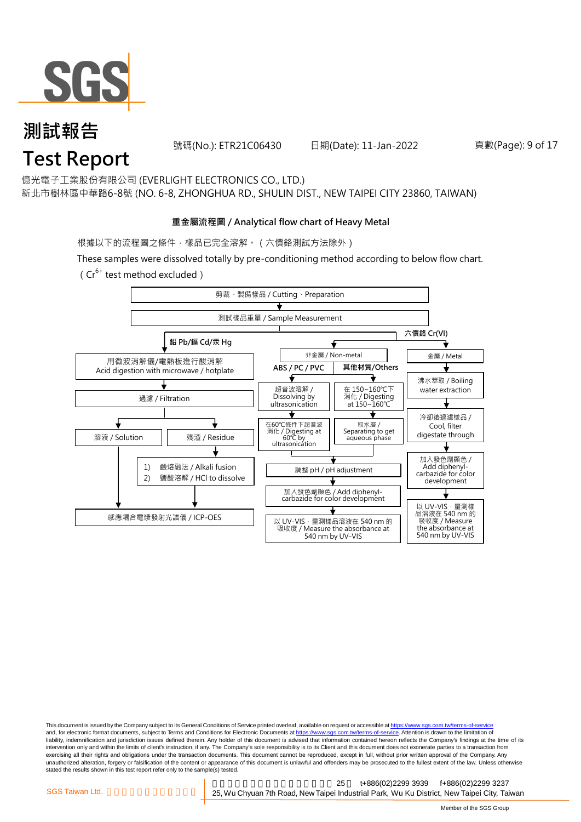

號碼(No.): ETR21C06430 日期(Date): 11-Jan-2022

頁數(Page): 9 of 17

億光電子工業股份有限公司 (EVERLIGHT ELECTRONICS CO., LTD.)

新北市樹林區中華路6-8號 (NO. 6-8, ZHONGHUA RD., SHULIN DIST., NEW TAIPEI CITY 23860, TAIWAN)

#### **重金屬流程圖 / Analytical flow chart of Heavy Metal**

根據以下的流程圖之條件,樣品已完全溶解。 (六價鉻測試方法除外)

These samples were dissolved totally by pre-conditioning method according to below flow chart.

(Cr<sup>6+</sup> test method excluded)



This document is issued by the Company subject to its General Conditions of Service printed overleaf, available on request or accessible at https://www.sgs.com.tw/terms-of-service and, for electronic format documents, subject to Terms and Conditions for Electronic Documents at https://www.sgs.com.tw/terms-of-service. Attention is drawn to the limitation of liability, indemnification and jurisdiction issues defined therein. Any holder of this document is advised that information contained hereon reflects the Company's findings at the time of its intervention only and within the limits of client's instruction, if any. The Company's sole responsibility is to its Client and this document does not exonerate parties to a transaction from exercising all their rights and obligations under the transaction documents. This document cannot be reproduced, except in full, without prior written approval of the Company. Any<br>unauthorized alteration, forgery or falsif stated the results shown in this test report refer only to the sample(s) tested.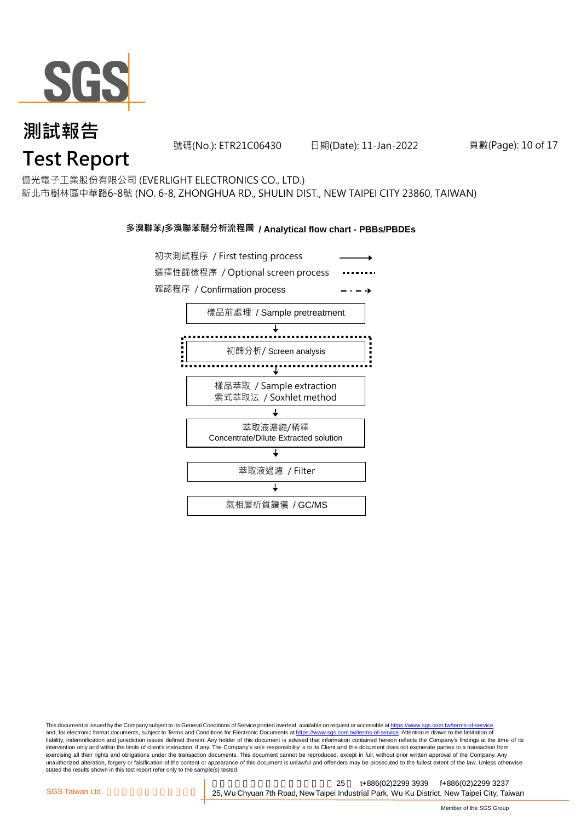

號碼(No.): ETR21C06430 日期(Date): 11-Jan-2022

頁數(Page): 10 of 17

億光電子工業股份有限公司 (EVERLIGHT ELECTRONICS CO., LTD.)

新北市樹林區中華路6-8號 (NO. 6-8, ZHONGHUA RD., SHULIN DIST., NEW TAIPEI CITY 23860, TAIWAN)

#### **多溴聯苯/多溴聯苯醚分析流程圖 / Analytical flow chart - PBBs/PBDEs**



This document is issued by the Company subject to its General Conditions of Service printed overleaf, available on request or accessible at https://www.sgs.com.tw/terms-of-service and, for electronic format documents, subject to Terms and Conditions for Electronic Documents at https://www.sgs.com.tw/terms-of-service. Attention is drawn to the limitation of liability, indemnification and jurisdiction issues defined therein. Any holder of this document is advised that information contained hereon reflects the Company's findings at the time of its intervention only and within the limits of client's instruction, if any. The Company's sole responsibility is to its Client and this document does not exonerate parties to a transaction from exercising all their rights and obligations under the transaction documents. This document cannot be reproduced, except in full, without prior written approval of the Company. Any<br>unauthorized alteration, forgery or falsif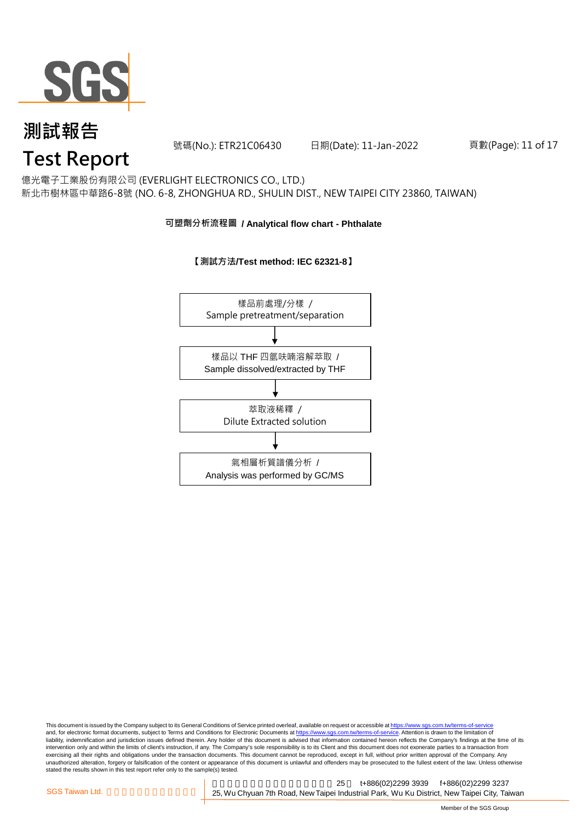

號碼(No.): ETR21C06430 日期(Date): 11-Jan-2022

頁數(Page): 11 of 17

### 億光電子工業股份有限公司 (EVERLIGHT ELECTRONICS CO., LTD.)

新北市樹林區中華路6-8號 (NO. 6-8, ZHONGHUA RD., SHULIN DIST., NEW TAIPEI CITY 23860, TAIWAN)

#### **可塑劑分析流程圖 / Analytical flow chart - Phthalate**



**【測試方法/Test method: IEC 62321-8】**

This document is issued by the Company subject to its General Conditions of Service printed overleaf, available on request or accessible at <u>https://www.sgs.com.tw/terms-of-service</u><br>and, for electronic format documents, su liability, indemnification and jurisdiction issues defined therein. Any holder of this document is advised that information contained hereon reflects the Company's findings at the time of its intervention only and within the limits of client's instruction, if any. The Company's sole responsibility is to its Client and this document does not exonerate parties to a transaction from exercising all their rights and obligations under the transaction documents. This document cannot be reproduced, except in full, without prior written approval of the Company. Any<br>unauthorized alteration, forgery or falsif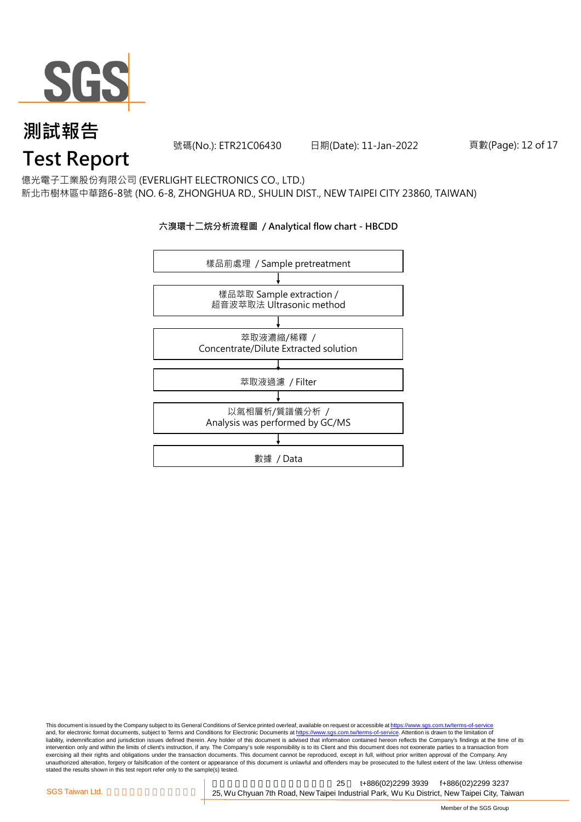

號碼(No.): ETR21C06430 日期(Date): 11-Jan-2022

頁數(Page): 12 of 17

#### 億光電子工業股份有限公司 (EVERLIGHT ELECTRONICS CO., LTD.)

新北市樹林區中華路6-8號 (NO. 6-8, ZHONGHUA RD., SHULIN DIST., NEW TAIPEI CITY 23860, TAIWAN)

#### **六溴環十二烷分析流程圖 / Analytical flow chart - HBCDD**



This document is issued by the Company subject to its General Conditions of Service printed overleaf, available on request or accessible at <u>https://www.sgs.com.tw/terms-of-service</u><br>and, for electronic format documents, su liability, indemnification and jurisdiction issues defined therein. Any holder of this document is advised that information contained hereon reflects the Company's findings at the time of its intervention only and within the limits of client's instruction, if any. The Company's sole responsibility is to its Client and this document does not exonerate parties to a transaction from exercising all their rights and obligations under the transaction documents. This document cannot be reproduced, except in full, without prior written approval of the Company. Any<br>unauthorized alteration, forgery or falsif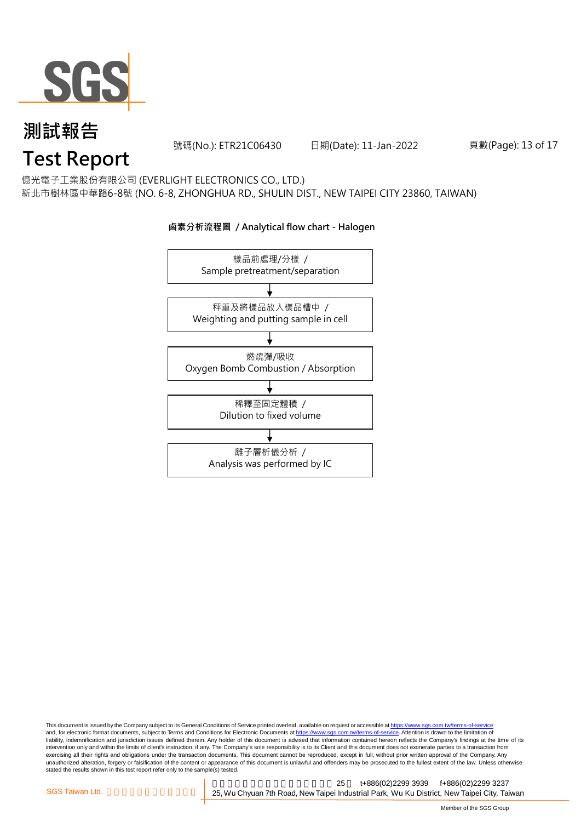

號碼(No.): ETR21C06430 日期(Date): 11-Jan-2022

頁數(Page): 13 of 17

億光電子工業股份有限公司 (EVERLIGHT ELECTRONICS CO., LTD.)

新北市樹林區中華路6-8號 (NO. 6-8, ZHONGHUA RD., SHULIN DIST., NEW TAIPEI CITY 23860, TAIWAN)



#### **鹵素分析流程圖 / Analytical flow chart - Halogen**

This document is issued by the Company subject to its General Conditions of Service printed overleaf, available on request or accessible at <u>https://www.sgs.com.tw/terms-of-service</u><br>and, for electronic format documents, su liability, indemnification and jurisdiction issues defined therein. Any holder of this document is advised that information contained hereon reflects the Company's findings at the time of its intervention only and within the limits of client's instruction, if any. The Company's sole responsibility is to its Client and this document does not exonerate parties to a transaction from exercising all their rights and obligations under the transaction documents. This document cannot be reproduced, except in full, without prior written approval of the Company. Any<br>unauthorized alteration, forgery or falsif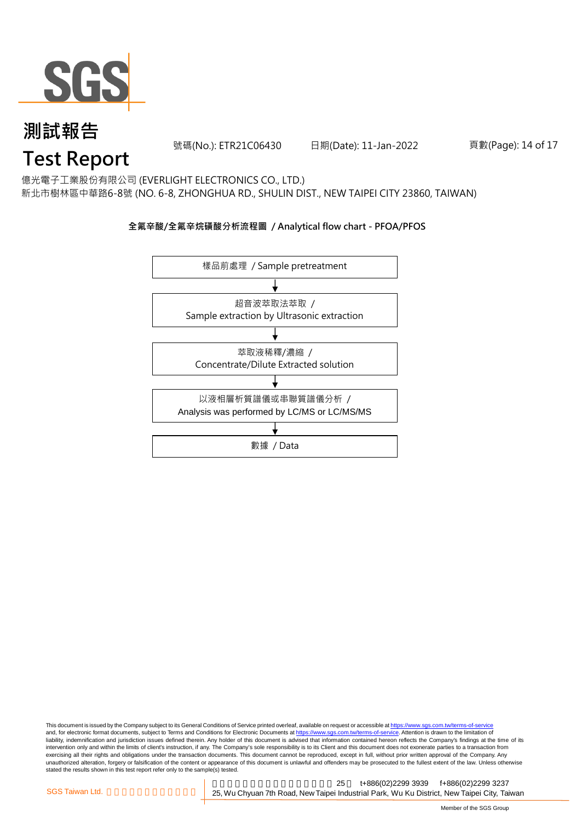

號碼(No.): ETR21C06430 日期(Date): 11-Jan-2022

#### 頁數(Page): 14 of 17

億光電子工業股份有限公司 (EVERLIGHT ELECTRONICS CO., LTD.)

新北市樹林區中華路6-8號 (NO. 6-8, ZHONGHUA RD., SHULIN DIST., NEW TAIPEI CITY 23860, TAIWAN)

#### **全氟辛酸/全氟辛烷磺酸分析流程圖 / Analytical flow chart - PFOA/PFOS**



This document is issued by the Company subject to its General Conditions of Service printed overleaf, available on request or accessible at <u>https://www.sgs.com.tw/terms-of-service</u><br>and, for electronic format documents, su liability, indemnification and jurisdiction issues defined therein. Any holder of this document is advised that information contained hereon reflects the Company's findings at the time of its intervention only and within the limits of client's instruction, if any. The Company's sole responsibility is to its Client and this document does not exonerate parties to a transaction from exercising all their rights and obligations under the transaction documents. This document cannot be reproduced, except in full, without prior written approval of the Company. Any<br>unauthorized alteration, forgery or falsif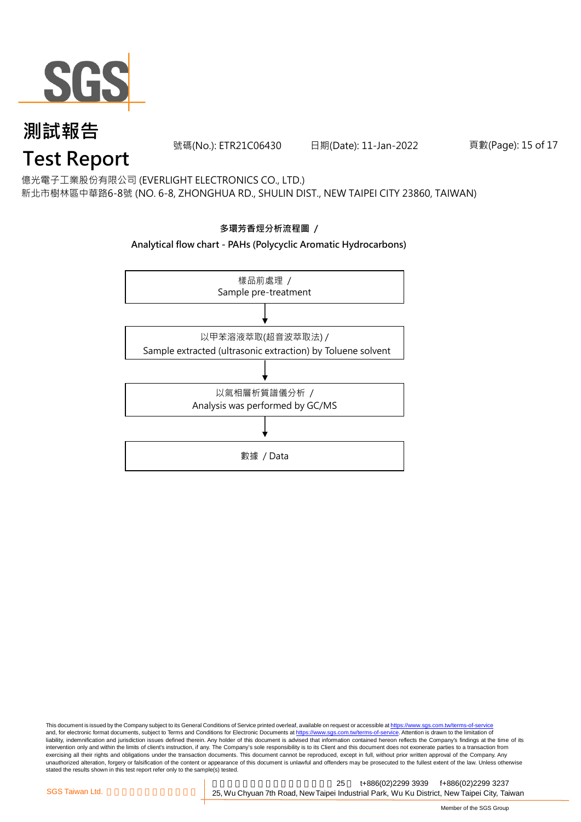

號碼(No.): ETR21C06430 日期(Date): 11-Jan-2022

頁數(Page): 15 of 17

#### 億光電子工業股份有限公司 (EVERLIGHT ELECTRONICS CO., LTD.)

新北市樹林區中華路6-8號 (NO. 6-8, ZHONGHUA RD., SHULIN DIST., NEW TAIPEI CITY 23860, TAIWAN)



#### This document is issued by the Company subject to its General Conditions of Service printed overleaf, available on request or accessible at <u>https://www.sgs.com.tw/terms-of-service</u><br>and, for electronic format documents, su liability, indemnification and jurisdiction issues defined therein. Any holder of this document is advised that information contained hereon reflects the Company's findings at the time of its intervention only and within the limits of client's instruction, if any. The Company's sole responsibility is to its Client and this document does not exonerate parties to a transaction from exercising all their rights and obligations under the transaction documents. This document cannot be reproduced, except in full, without prior written approval of the Company. Any<br>unauthorized alteration, forgery or falsif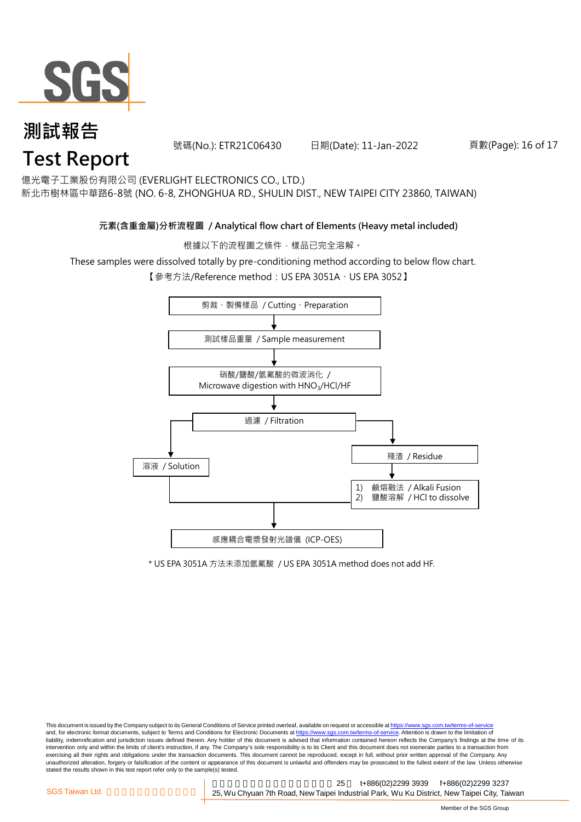

號碼(No.): ETR21C06430 日期(Date): 11-Jan-2022

#### 頁數(Page): 16 of 17

億光電子工業股份有限公司 (EVERLIGHT ELECTRONICS CO., LTD.)

新北市樹林區中華路6-8號 (NO. 6-8, ZHONGHUA RD., SHULIN DIST., NEW TAIPEI CITY 23860, TAIWAN)

#### **元素(含重金屬)分析流程圖 / Analytical flow chart of Elements (Heavy metal included)**

根據以下的流程圖之條件,樣品已完全溶解。

These samples were dissolved totally by pre-conditioning method according to below flow chart.

【參考方法/Reference method:US EPA 3051A、US EPA 3052】



\* US EPA 3051A 方法未添加氫氟酸 / US EPA 3051A method does not add HF.

This document is issued by the Company subject to its General Conditions of Service printed overleaf, available on request or accessible at https://www.sgs.com.tw/terms-of-service and, for electronic format documents, subject to Terms and Conditions for Electronic Documents at https://www.sgs.com.tw/terms-of-service. Attention is drawn to the limitation of liability, indemnification and jurisdiction issues defined therein. Any holder of this document is advised that information contained hereon reflects the Company's findings at the time of its intervention only and within the limits of client's instruction, if any. The Company's sole responsibility is to its Client and this document does not exonerate parties to a transaction from exercising all their rights and obligations under the transaction documents. This document cannot be reproduced, except in full, without prior written approval of the Company. Any<br>unauthorized alteration, forgery or falsif stated the results shown in this test report refer only to the sample(s) tested.